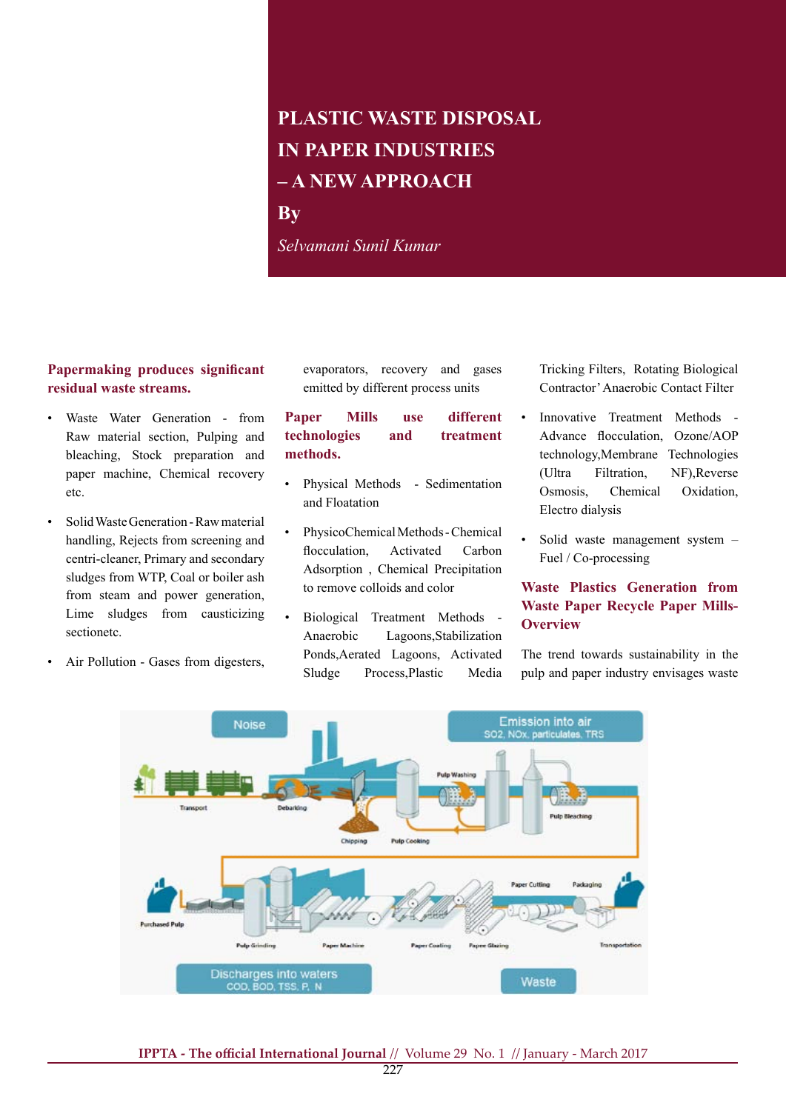# **PLASTIC WASTE DISPOSAL IN PAPER INDUSTRIES – A NEW APPROACH**

**By**

*Selvamani Sunil Kumar*

## **Papermaking produces significant residual waste streams.**

- Waste Water Generation from Raw material section, Pulping and bleaching, Stock preparation and paper machine, Chemical recovery etc.
- Solid Waste Generation Raw material handling, Rejects from screening and centri-cleaner, Primary and secondary sludges from WTP, Coal or boiler ash from steam and power generation, Lime sludges from causticizing sectionetc.
- Air Pollution Gases from digesters,

evaporators, recovery and gases emitted by different process units

# **Paper Mills use different technologies and treatment methods.**

- • Physical Methods Sedimentation and Floatation
- PhysicoChemical Methods Chemical flocculation, Activated Carbon Adsorption , Chemical Precipitation to remove colloids and color
- • Biological Treatment Methods Anaerobic Lagoons,Stabilization Ponds,Aerated Lagoons, Activated Sludge Process,Plastic Media

Tricking Filters, Rotating Biological Contractor'Anaerobic Contact Filter

- Innovative Treatment Methods -Advance flocculation, Ozone/AOP technology,Membrane Technologies (Ultra Filtration, NF),Reverse Osmosis, Chemical Oxidation, Electro dialysis
- Solid waste management system -Fuel / Co-processing

# **Waste Plastics Generation from Waste Paper Recycle Paper Mills-Overview**

The trend towards sustainability in the pulp and paper industry envisages waste

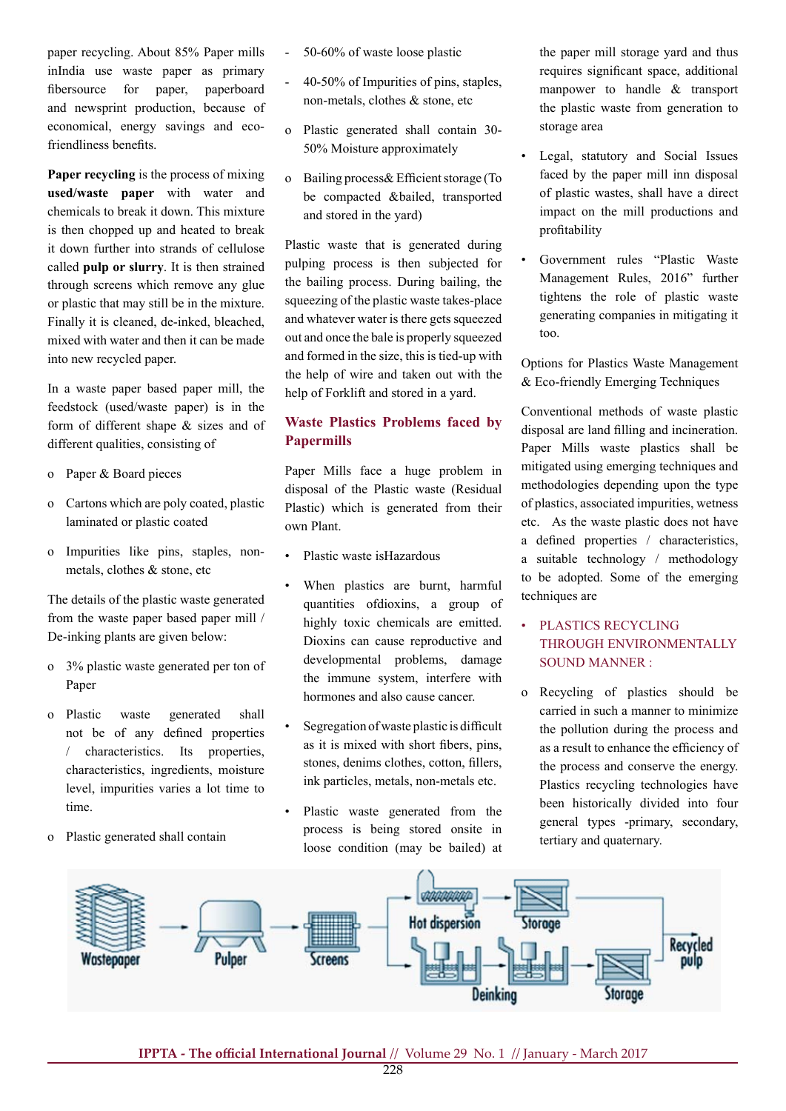paper recycling. About 85% Paper mills inIndia use waste paper as primary fibersource for paper, paperboard and newsprint production, because of economical, energy savings and ecofriendliness benefits.

**Paper recycling** is the process of mixing **used/waste paper** with water and chemicals to break it down. This mixture is then chopped up and heated to break it down further into strands of cellulose called **pulp or slurry**. It is then strained through screens which remove any glue or plastic that may still be in the mixture. Finally it is cleaned, de-inked, bleached, mixed with water and then it can be made into new recycled paper.

In a waste paper based paper mill, the feedstock (used/waste paper) is in the form of different shape & sizes and of different qualities, consisting of

- o Paper & Board pieces
- o Cartons which are poly coated, plastic laminated or plastic coated
- o Impurities like pins, staples, nonmetals, clothes & stone, etc

The details of the plastic waste generated from the waste paper based paper mill / De-inking plants are given below:

- o 3% plastic waste generated per ton of Paper
- o Plastic waste generated shall not be of any defined properties / characteristics. Its properties, characteristics, ingredients, moisture level, impurities varies a lot time to time.
- o Plastic generated shall contain
- $50-60\%$  of waste loose plastic
- $40-50\%$  of Impurities of pins, staples, non-metals, clothes & stone, etc
- o Plastic generated shall contain 30- 50% Moisture approximately
- o Bailing process & Efficient storage (To be compacted &bailed, transported and stored in the yard)

Plastic waste that is generated during pulping process is then subjected for the bailing process. During bailing, the squeezing of the plastic waste takes-place and whatever water is there gets squeezed out and once the bale is properly squeezed and formed in the size, this is tied-up with the help of wire and taken out with the help of Forklift and stored in a yard.

# **Waste Plastics Problems faced by Papermills**

Paper Mills face a huge problem in disposal of the Plastic waste (Residual Plastic) which is generated from their own Plant.

- Plastic waste isHazardous
- When plastics are burnt, harmful quantities ofdioxins, a group of highly toxic chemicals are emitted. Dioxins can cause reproductive and developmental problems, damage the immune system, interfere with hormones and also cause cancer.
- Segregation of waste plastic is difficult as it is mixed with short fibers, pins, stones, denims clothes, cotton, fillers, ink particles, metals, non-metals etc.
- Plastic waste generated from the process is being stored onsite in loose condition (may be bailed) at

the paper mill storage yard and thus requires significant space, additional manpower to handle & transport the plastic waste from generation to storage area

- Legal, statutory and Social Issues faced by the paper mill inn disposal of plastic wastes, shall have a direct impact on the mill productions and profitability
- Government rules "Plastic Waste Management Rules, 2016" further tightens the role of plastic waste generating companies in mitigating it too.

Options for Plastics Waste Management & Eco-friendly Emerging Techniques

Conventional methods of waste plastic disposal are land filling and incineration. Paper Mills waste plastics shall be mitigated using emerging techniques and methodologies depending upon the type of plastics, associated impurities, wetness etc. As the waste plastic does not have a defined properties / characteristics, a suitable technology / methodology to be adopted. Some of the emerging techniques are

- • PLASTICS RECYCLING THROUGH ENVIRONMENTALLY SOUND MANNER :
- o Recycling of plastics should be carried in such a manner to minimize the pollution during the process and as a result to enhance the efficiency of the process and conserve the energy. Plastics recycling technologies have been historically divided into four general types -primary, secondary, tertiary and quaternary.

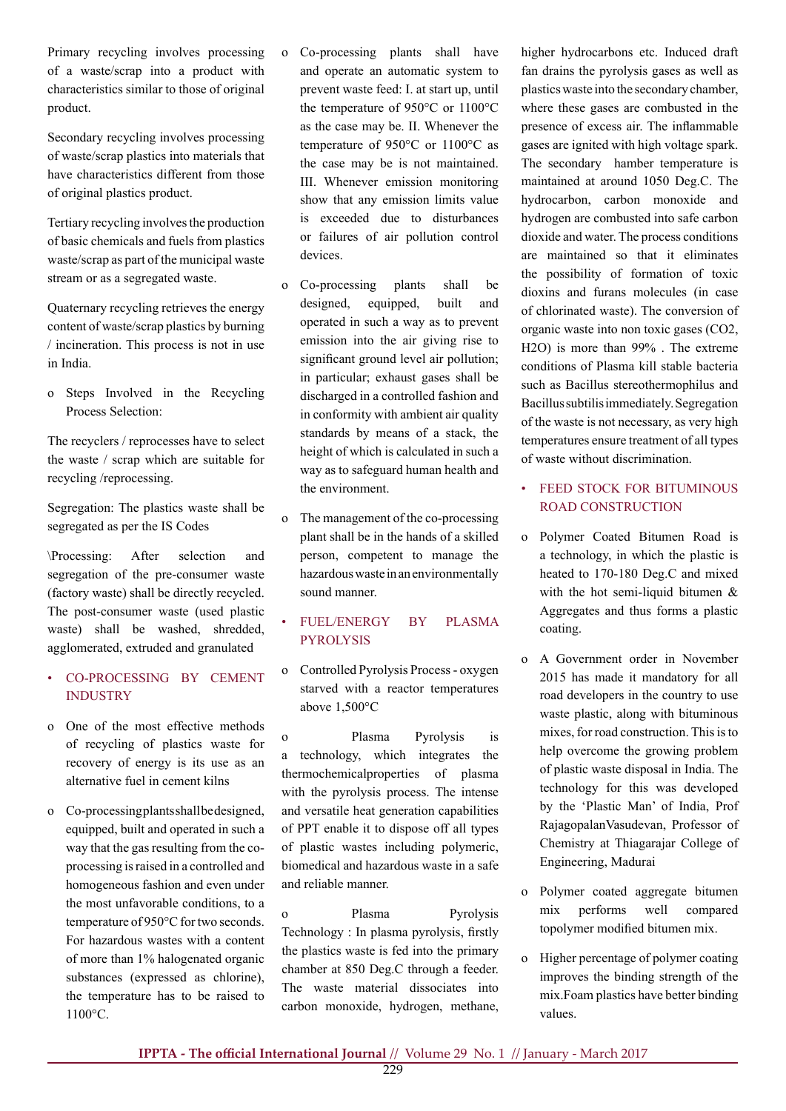Primary recycling involves processing of a waste/scrap into a product with characteristics similar to those of original product.

Secondary recycling involves processing of waste/scrap plastics into materials that have characteristics different from those of original plastics product.

Tertiary recycling involvesthe production of basic chemicals and fuels from plastics waste/scrap as part of the municipal waste stream or as a segregated waste.

Quaternary recycling retrieves the energy content of waste/scrap plastics by burning / incineration. This process is not in use in India.

o Steps Involved in the Recycling Process Selection:

The recyclers / reprocesses have to select the waste / scrap which are suitable for recycling /reprocessing.

Segregation: The plastics waste shall be segregated as per the IS Codes

\Processing: After selection and segregation of the pre-consumer waste (factory waste) shall be directly recycled. The post-consumer waste (used plastic waste) shall be washed, shredded, agglomerated, extruded and granulated

- • CO-PROCESSING BY CEMENT INDUSTRY
- o One of the most effective methods of recycling of plastics waste for recovery of energy is its use as an alternative fuel in cement kilns
- o Co-processingplantsshallbedesigned, equipped, built and operated in such a way that the gas resulting from the coprocessing israised in a controlled and homogeneous fashion and even under the most unfavorable conditions, to a temperature of 950°C for two seconds. For hazardous wastes with a content of more than 1% halogenated organic substances (expressed as chlorine), the temperature has to be raised to 1100°C.
- o Co-processing plants shall have and operate an automatic system to prevent waste feed: I. at start up, until the temperature of 950°C or 1100°C as the case may be. II. Whenever the temperature of 950°C or 1100°C as the case may be is not maintained. III. Whenever emission monitoring show that any emission limits value is exceeded due to disturbances or failures of air pollution control devices.
- o Co-processing plants shall be designed, equipped, built and operated in such a way as to prevent emission into the air giving rise to significant ground level air pollution; in particular; exhaust gases shall be discharged in a controlled fashion and in conformity with ambient air quality standards by means of a stack, the height of which is calculated in such a way as to safeguard human health and the environment.
- o The management of the co-processing plant shall be in the hands of a skilled person, competent to manage the hazardous waste in an environmentally sound manner.
- FUEL/ENERGY BY PLASMA PYROLYSIS
- o Controlled Pyrolysis Process- oxygen starved with a reactor temperatures above 1,500°C
- o Plasma Pyrolysis is a technology, which integrates the thermochemicalproperties of plasma with the pyrolysis process. The intense and versatile heat generation capabilities of PPT enable it to dispose off all types of plastic wastes including polymeric, biomedical and hazardous waste in a safe and reliable manner.

o Plasma Pyrolysis Technology : In plasma pyrolysis, firstly the plastics waste is fed into the primary chamber at 850 Deg.C through a feeder. The waste material dissociates into carbon monoxide, hydrogen, methane,

higher hydrocarbons etc. Induced draft fan drains the pyrolysis gases as well as plasticswaste into the secondary chamber, where these gases are combusted in the presence of excess air. The inflammable gases are ignited with high voltage spark. The secondary hamber temperature is maintained at around 1050 Deg.C. The hydrocarbon, carbon monoxide and hydrogen are combusted into safe carbon dioxide and water. The process conditions are maintained so that it eliminates the possibility of formation of toxic dioxins and furans molecules (in case of chlorinated waste). The conversion of organic waste into non toxic gases (CO2, H2O) is more than 99% . The extreme conditions of Plasma kill stable bacteria such as Bacillus stereothermophilus and Bacillussubtilisimmediately.Segregation of the waste is not necessary, as very high temperatures ensure treatment of all types of waste without discrimination.

# • FEED STOCK FOR BITUMINOUS ROAD CONSTRUCTION

- o Polymer Coated Bitumen Road is a technology, in which the plastic is heated to 170-180 Deg.C and mixed with the hot semi-liquid bitumen & Aggregates and thus forms a plastic coating.
- o A Government order in November 2015 has made it mandatory for all road developers in the country to use waste plastic, along with bituminous mixes, for road construction. This is to help overcome the growing problem of plastic waste disposal in India. The technology for this was developed by the 'Plastic Man' of India, Prof RajagopalanVasudevan, Professor of Chemistry at Thiagarajar College of Engineering, Madurai
- o Polymer coated aggregate bitumen mix performs well compared topolymer modified bitumen mix.
- o Higher percentage of polymer coating improves the binding strength of the mix.Foam plastics have better binding values.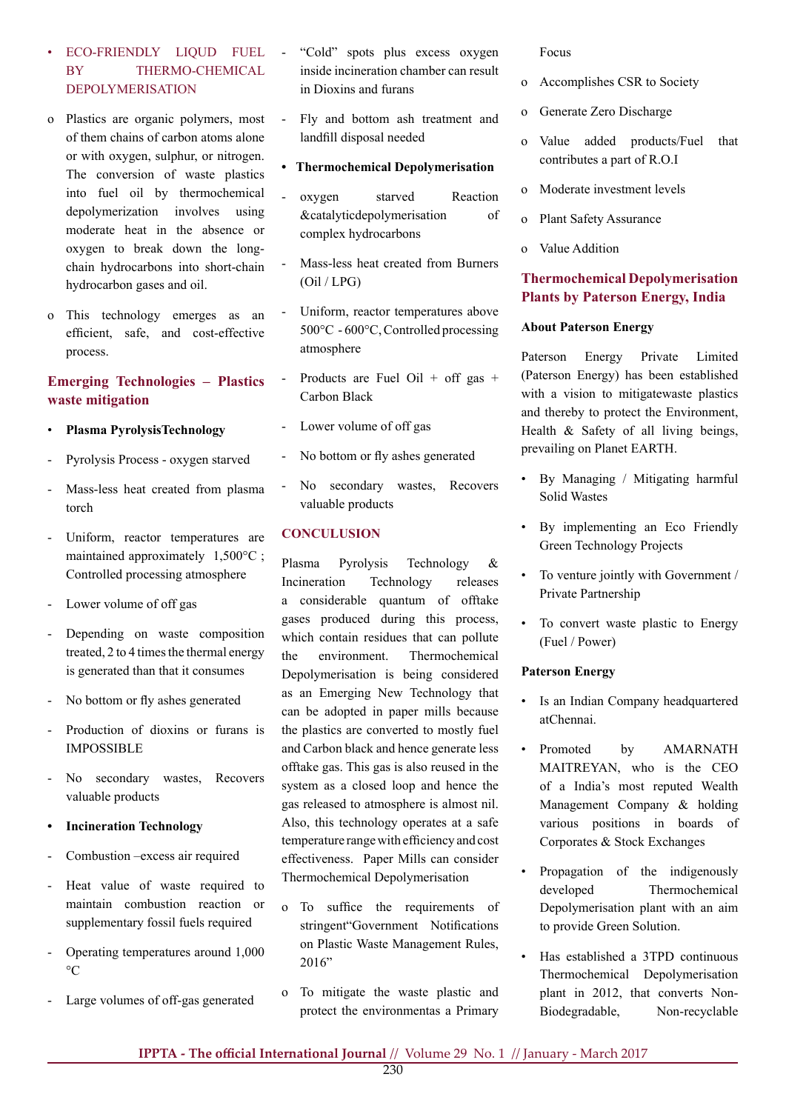## • ECO-FRIENDLY LIQUD FUEL BY THERMO-CHEMICAL DEPOLYMERISATION

- o Plastics are organic polymers, most of them chains of carbon atoms alone or with oxygen, sulphur, or nitrogen. The conversion of waste plastics into fuel oil by thermochemical depolymerization involves using moderate heat in the absence or oxygen to break down the longchain hydrocarbons into short-chain hydrocarbon gases and oil.
- o This technology emerges as an efficient, safe, and cost-effective process.

# **Emerging Technologies – Plastics waste mitigation**

- **Plasma PyrolysisTechnology**
- Pyrolysis Process oxygen starved
- Mass-less heat created from plasma torch
- Uniform, reactor temperatures are maintained approximately 1,500°C ; Controlled processing atmosphere
- Lower volume of off gas
- Depending on waste composition treated, 2 to 4 times the thermal energy is generated than that it consumes
- No bottom or fly ashes generated
- Production of dioxins or furans is IMPOSSIBLE
- - No secondary wastes, Recovers valuable products
- **• Incineration Technology**
- Combustion –excess air required
- Heat value of waste required to maintain combustion reaction or supplementary fossil fuels required
- Operating temperatures around 1,000  $\rm ^{\circ}C$
- Large volumes of off-gas generated
- "Cold" spots plus excess oxygen inside incineration chamber can result in Dioxins and furans
- Fly and bottom ash treatment and landfill disposal needed
- **Thermochemical Depolymerisation**
- oxygen starved Reaction &catalyticdepolymerisation of complex hydrocarbons
- Mass-less heat created from Burners (Oil / LPG)
- Uniform, reactor temperatures above 500°C - 600°C, Controlled processing atmosphere
- Products are Fuel Oil + off gas + Carbon Black
- Lower volume of off gas
- No bottom or fly ashes generated
- No secondary wastes, Recovers valuable products

## **CONCULUSION**

Plasma Pyrolysis Technology & Incineration Technology releases a considerable quantum of offtake gases produced during this process, which contain residues that can pollute the environment Thermochemical Depolymerisation is being considered as an Emerging New Technology that can be adopted in paper mills because the plastics are converted to mostly fuel and Carbon black and hence generate less offtake gas. This gas is also reused in the system as a closed loop and hence the gas released to atmosphere is almost nil. Also, this technology operates at a safe temperature rangewith efficiency and cost effectiveness. Paper Mills can consider Thermochemical Depolymerisation

- o To suffice the requirements of stringent"Government Notifications on Plastic Waste Management Rules, 2016"
- o To mitigate the waste plastic and protect the environmentas a Primary

Focus

- o Accomplishes CSR to Society
- o Generate Zero Discharge
- o Value added products/Fuel that contributes a part of R.O.I
- o Moderate investment levels
- o Plant Safety Assurance
- Value Addition

## **Thermochemical Depolymerisation Plants by Paterson Energy, India**

#### **About Paterson Energy**

Paterson Energy Private Limited (Paterson Energy) has been established with a vision to mitigatewaste plastics and thereby to protect the Environment, Health & Safety of all living beings, prevailing on Planet EARTH.

- By Managing / Mitigating harmful Solid Wastes
- • By implementing an Eco Friendly Green Technology Projects
- To venture jointly with Government / Private Partnership
- To convert waste plastic to Energy (Fuel / Power)

## **Paterson Energy**

- Is an Indian Company headquartered atChennai.
- • Promoted by AMARNATH MAITREYAN, who is the CEO of a India's most reputed Wealth Management Company & holding various positions in boards of Corporates & Stock Exchanges
- Propagation of the indigenously developed Thermochemical Depolymerisation plant with an aim to provide Green Solution.
- Has established a 3TPD continuous Thermochemical Depolymerisation plant in 2012, that converts Non-Biodegradable, Non-recyclable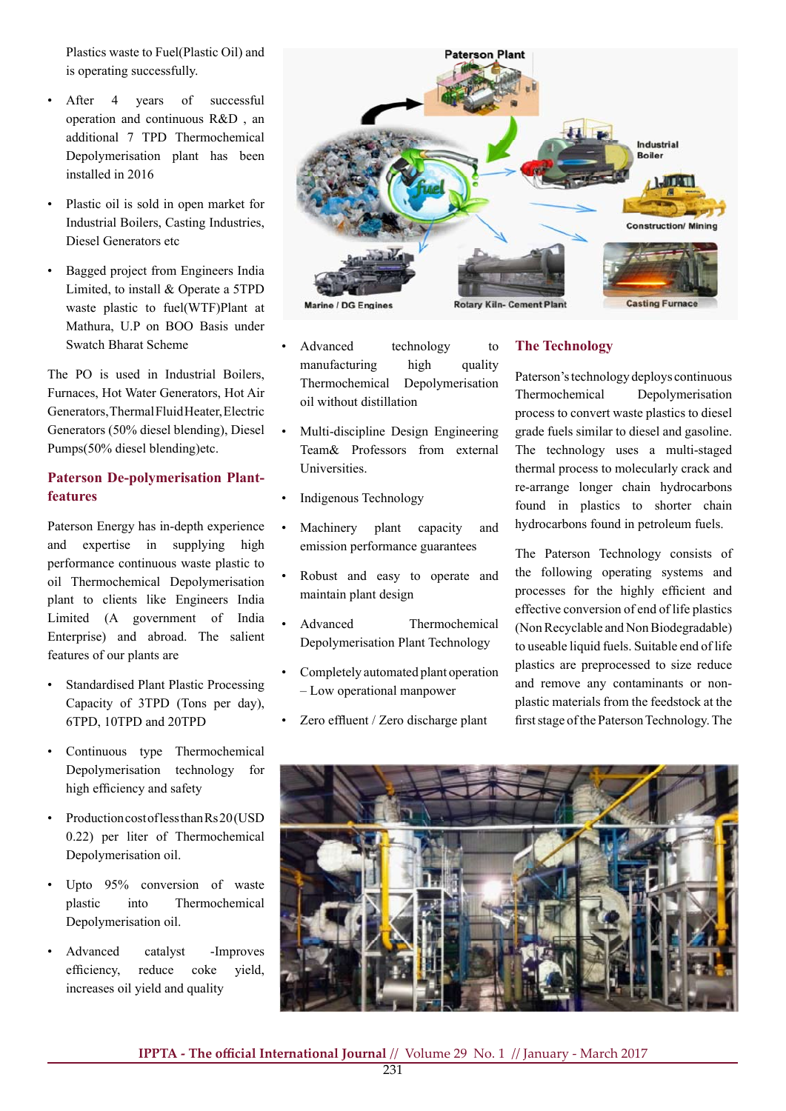Plastics waste to Fuel(Plastic Oil) and is operating successfully.

- After 4 years of successful operation and continuous R&D , an additional 7 TPD Thermochemical Depolymerisation plant has been installed in 2016
- Plastic oil is sold in open market for Industrial Boilers, Casting Industries, Diesel Generators etc
- • Bagged project from Engineers India Limited, to install & Operate a 5TPD waste plastic to fuel(WTF)Plant at Mathura, U.P on BOO Basis under Swatch Bharat Scheme

The PO is used in Industrial Boilers, Furnaces, Hot Water Generators, Hot Air Generators,ThermalFluidHeater,Electric Generators (50% diesel blending), Diesel Pumps(50% diesel blending)etc.

## **Paterson De-polymerisation Plantfeatures**

Paterson Energy has in-depth experience and expertise in supplying high performance continuous waste plastic to oil Thermochemical Depolymerisation plant to clients like Engineers India Limited (A government of India Enterprise) and abroad. The salient features of our plants are

- **Standardised Plant Plastic Processing** Capacity of 3TPD (Tons per day), 6TPD, 10TPD and 20TPD
- • Continuous type Thermochemical Depolymerisation technology for high efficiency and safety
- Production cost of less than Rs 20 (USD 0.22) per liter of Thermochemical Depolymerisation oil.
- Upto 95% conversion of waste plastic into Thermochemical Depolymerisation oil.
- Advanced catalyst -Improves efficiency, reduce coke yield, increases oil yield and quality



- Advanced technology to manufacturing high quality Thermochemical Depolymerisation oil without distillation
- Multi-discipline Design Engineering Team& Professors from external Universities.
- Indigenous Technology
- Machinery plant capacity and emission performance guarantees
- Robust and easy to operate and maintain plant design
- Advanced Thermochemical Depolymerisation Plant Technology
- Completely automated plant operation – Low operational manpower
- Zero effluent / Zero discharge plant

## **The Technology**

Paterson'stechnology deploys continuous Thermochemical Depolymerisation process to convert waste plastics to diesel grade fuels similar to diesel and gasoline. The technology uses a multi-staged thermal process to molecularly crack and re-arrange longer chain hydrocarbons found in plastics to shorter chain hydrocarbons found in petroleum fuels.

The Paterson Technology consists of the following operating systems and processes for the highly efficient and effective conversion of end of life plastics (Non Recyclable and Non Biodegradable) to useable liquid fuels. Suitable end of life plastics are preprocessed to size reduce and remove any contaminants or nonplastic materials from the feedstock at the first stage of the Paterson Technology. The

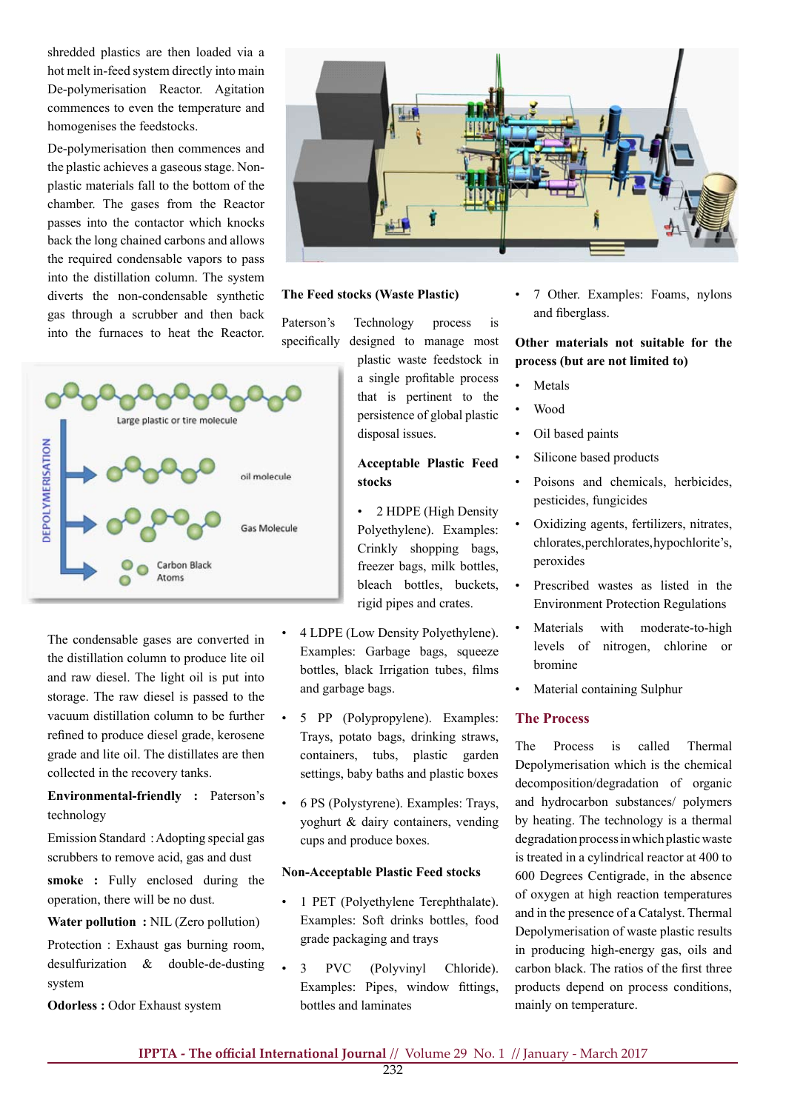shredded plastics are then loaded via a hot melt in-feed system directly into main De-polymerisation Reactor. Agitation commences to even the temperature and homogenises the feedstocks.

De-polymerisation then commences and the plastic achieves a gaseous stage. Nonplastic materials fall to the bottom of the chamber. The gases from the Reactor passes into the contactor which knocks back the long chained carbons and allows the required condensable vapors to pass into the distillation column. The system diverts the non-condensable synthetic gas through a scrubber and then back into the furnaces to heat the Reactor.



The condensable gases are converted in the distillation column to produce lite oil and raw diesel. The light oil is put into storage. The raw diesel is passed to the vacuum distillation column to be further refined to produce diesel grade, kerosene grade and lite oil. The distillates are then collected in the recovery tanks.

**Environmental-friendly :** Paterson's technology

Emission Standard :Adopting special gas scrubbers to remove acid, gas and dust

**smoke :** Fully enclosed during the operation, there will be no dust.

**Water pollution :** NIL (Zero pollution)

Protection : Exhaust gas burning room, desulfurization & double-de-dusting system

**Odorless :** Odor Exhaust system



#### **The Feed stocks (Waste Plastic)**

Paterson's Technology process is specifically designed to manage most

> plastic waste feedstock in a single profitable process that is pertinent to the persistence of global plastic disposal issues.

## **Acceptable Plastic Feed stocks**

• 2 HDPE (High Density Polyethylene). Examples: Crinkly shopping bags, freezer bags, milk bottles, bleach bottles, buckets, rigid pipes and crates.

- 4 LDPE (Low Density Polyethylene). Examples: Garbage bags, squeeze bottles, black Irrigation tubes, films and garbage bags.
- 5 PP (Polypropylene). Examples: Trays, potato bags, drinking straws, containers, tubs, plastic garden settings, baby baths and plastic boxes
- 6 PS (Polystyrene). Examples: Trays, yoghurt & dairy containers, vending cups and produce boxes.

#### **Non-Acceptable Plastic Feed stocks**

- 1 PET (Polyethylene Terephthalate). Examples: Soft drinks bottles, food grade packaging and trays
- 3 PVC (Polyvinyl Chloride). Examples: Pipes, window fittings, bottles and laminates

7 Other. Examples: Foams, nylons and fiberglass.

**Other materials not suitable for the process (but are not limited to)** 

- **Metals**
- **Wood**
- Oil based paints
- Silicone based products
- Poisons and chemicals, herbicides, pesticides, fungicides
- Oxidizing agents, fertilizers, nitrates, chlorates,perchlorates,hypochlorite's, peroxides
- Prescribed wastes as listed in the Environment Protection Regulations
- Materials with moderate-to-high levels of nitrogen, chlorine or bromine
- Material containing Sulphur

## **The Process**

The Process is called Thermal Depolymerisation which is the chemical decomposition/degradation of organic and hydrocarbon substances/ polymers by heating. The technology is a thermal degradation process in which plastic waste is treated in a cylindrical reactor at 400 to 600 Degrees Centigrade, in the absence of oxygen at high reaction temperatures and in the presence of a Catalyst. Thermal Depolymerisation of waste plastic results in producing high-energy gas, oils and carbon black. The ratios of the first three products depend on process conditions, mainly on temperature.